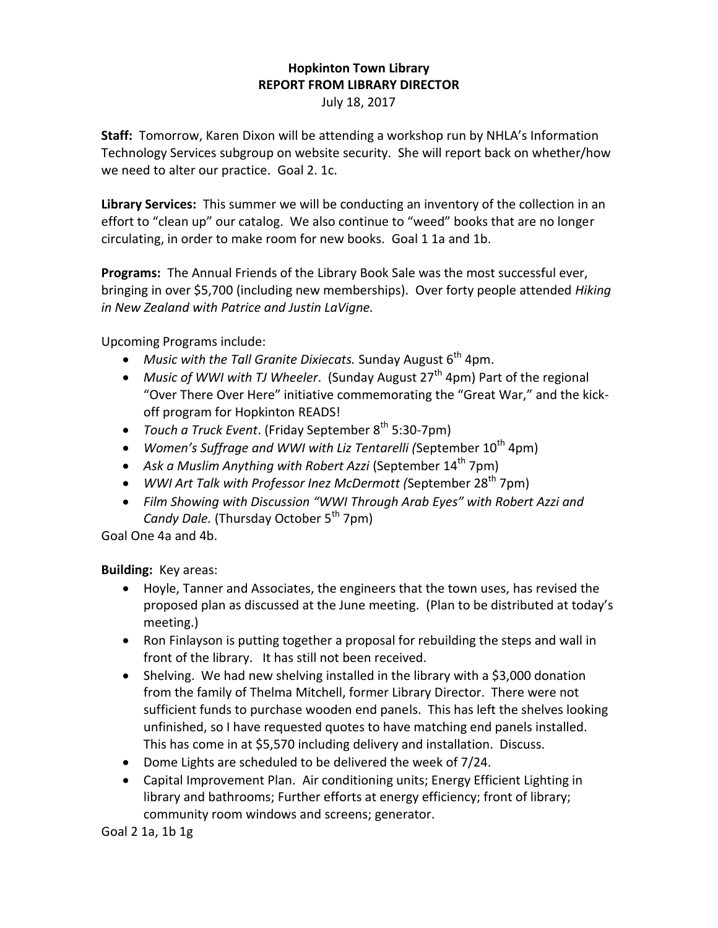## **Hopkinton Town Library REPORT FROM LIBRARY DIRECTOR**

July 18, 2017

**Staff:** Tomorrow, Karen Dixon will be attending a workshop run by NHLA's Information Technology Services subgroup on website security. She will report back on whether/how we need to alter our practice. Goal 2. 1c.

**Library Services:** This summer we will be conducting an inventory of the collection in an effort to "clean up" our catalog. We also continue to "weed" books that are no longer circulating, in order to make room for new books. Goal 1 1a and 1b.

**Programs:** The Annual Friends of the Library Book Sale was the most successful ever, bringing in over \$5,700 (including new memberships). Over forty people attended *Hiking in New Zealand with Patrice and Justin LaVigne.*

Upcoming Programs include:

- Music with the Tall Granite Dixiecats. Sunday August 6<sup>th</sup> 4pm.
- Music of WWI with TJ Wheeler. (Sunday August 27<sup>th</sup> 4pm) Part of the regional "Over There Over Here" initiative commemorating the "Great War," and the kickoff program for Hopkinton READS!
- *Touch a Truck Event*. (Friday September 8<sup>th</sup> 5:30-7pm)
- Women's Suffrage and WWI with Liz Tentarelli (September 10<sup>th</sup> 4pm)
- Ask a Muslim Anything with Robert Azzi (September 14<sup>th</sup> 7pm)
- WWI Art Talk with Professor Inez McDermott (September 28<sup>th</sup> 7pm)
- *Film Showing with Discussion "WWI Through Arab Eyes" with Robert Azzi and Candy Dale.* (Thursday October 5<sup>th</sup> 7pm)

Goal One 4a and 4b.

**Building:** Key areas:

- Hoyle, Tanner and Associates, the engineers that the town uses, has revised the proposed plan as discussed at the June meeting. (Plan to be distributed at today's meeting.)
- Ron Finlayson is putting together a proposal for rebuilding the steps and wall in front of the library. It has still not been received.
- Shelving. We had new shelving installed in the library with a \$3,000 donation from the family of Thelma Mitchell, former Library Director. There were not sufficient funds to purchase wooden end panels. This has left the shelves looking unfinished, so I have requested quotes to have matching end panels installed. This has come in at \$5,570 including delivery and installation. Discuss.
- Dome Lights are scheduled to be delivered the week of 7/24.
- Capital Improvement Plan. Air conditioning units; Energy Efficient Lighting in library and bathrooms; Further efforts at energy efficiency; front of library; community room windows and screens; generator.

Goal 2 1a, 1b 1g